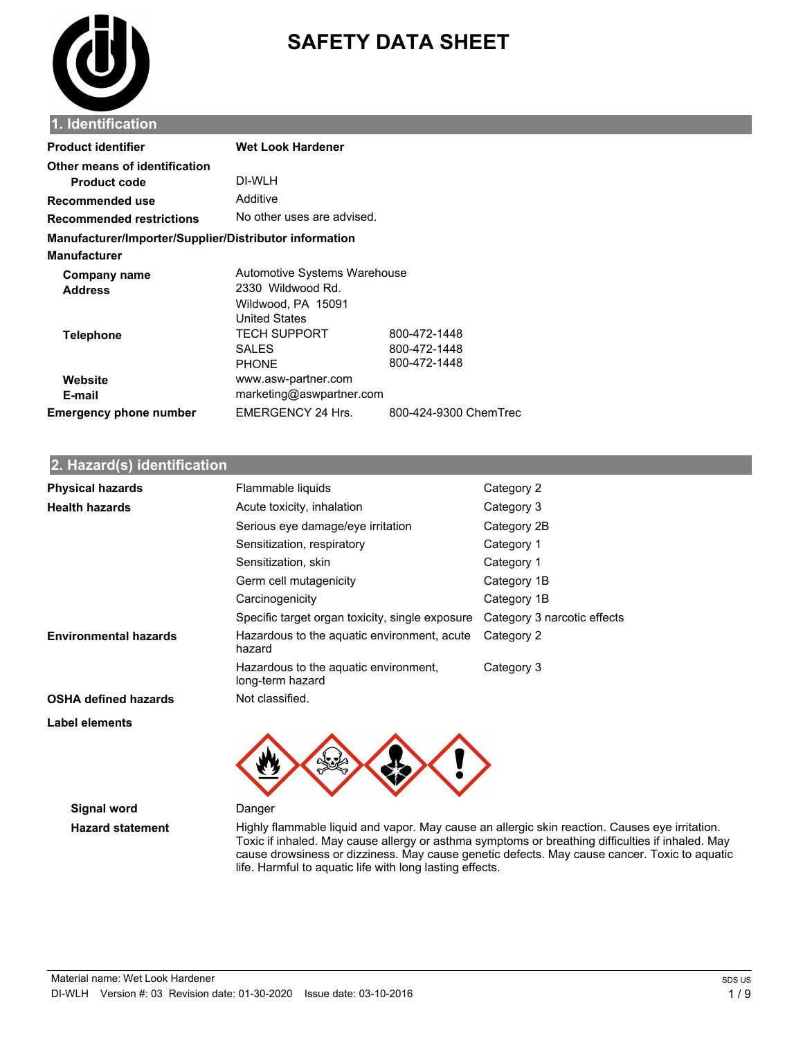

# **SAFETY DATA SHEET**

#### **1. Identification**

| <b>Product identifier</b>                              | <b>Wet Look Hardener</b>     |                       |
|--------------------------------------------------------|------------------------------|-----------------------|
| Other means of identification                          |                              |                       |
| <b>Product code</b>                                    | DI-WLH                       |                       |
| Recommended use                                        | Additive                     |                       |
| <b>Recommended restrictions</b>                        | No other uses are advised.   |                       |
| Manufacturer/Importer/Supplier/Distributor information |                              |                       |
| <b>Manufacturer</b>                                    |                              |                       |
| Company name                                           | Automotive Systems Warehouse |                       |
| <b>Address</b>                                         | 2330 Wildwood Rd.            |                       |
|                                                        | Wildwood, PA 15091           |                       |
|                                                        | <b>United States</b>         |                       |
| <b>Telephone</b>                                       | TECH SUPPORT                 | 800-472-1448          |
|                                                        | <b>SALES</b>                 | 800-472-1448          |
|                                                        | <b>PHONE</b>                 | 800-472-1448          |
| Website                                                | www.asw-partner.com          |                       |
| E-mail                                                 | marketing@aswpartner.com     |                       |
| <b>Emergency phone number</b>                          | EMERGENCY 24 Hrs.            | 800-424-9300 ChemTrec |

#### **2. Hazard(s) identification**

| <b>Physical hazards</b>      | Flammable liquids                                         | Category 2                  |
|------------------------------|-----------------------------------------------------------|-----------------------------|
| <b>Health hazards</b>        | Acute toxicity, inhalation                                | Category 3                  |
|                              | Serious eye damage/eye irritation                         | Category 2B                 |
|                              | Sensitization, respiratory                                | Category 1                  |
|                              | Sensitization, skin                                       | Category 1                  |
|                              | Germ cell mutagenicity                                    | Category 1B                 |
|                              | Carcinogenicity                                           | Category 1B                 |
|                              | Specific target organ toxicity, single exposure           | Category 3 narcotic effects |
| <b>Environmental hazards</b> | Hazardous to the aquatic environment, acute<br>hazard     | Category 2                  |
|                              | Hazardous to the aquatic environment,<br>long-term hazard | Category 3                  |
| <b>OSHA defined hazards</b>  | Not classified.                                           |                             |
| Label elements               |                                                           |                             |



**Signal word** Danger

**Hazard statement** Highly flammable liquid and vapor. May cause an allergic skin reaction. Causes eye irritation. Toxic if inhaled. May cause allergy or asthma symptoms or breathing difficulties if inhaled. May cause drowsiness or dizziness. May cause genetic defects. May cause cancer. Toxic to aquatic life. Harmful to aquatic life with long lasting effects.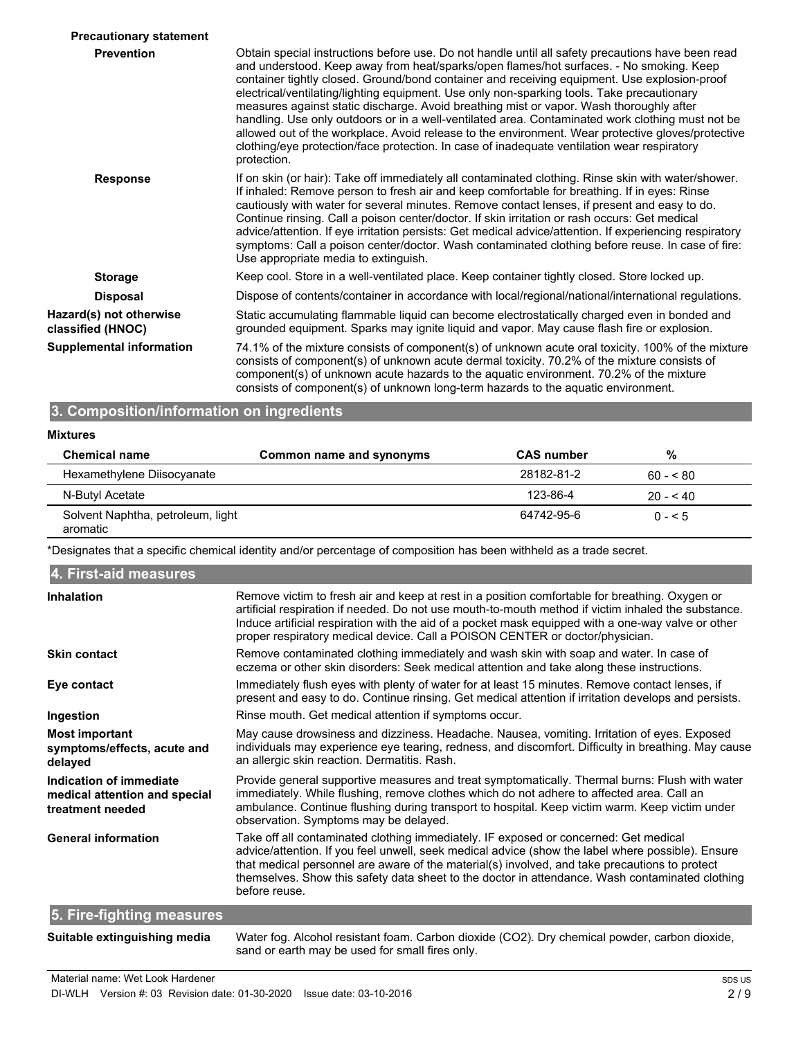| <b>Precautionary statement</b>               |                                                                                                                                                                                                                                                                                                                                                                                                                                                                                                                                                                                                                                                                                                                                                                                                              |
|----------------------------------------------|--------------------------------------------------------------------------------------------------------------------------------------------------------------------------------------------------------------------------------------------------------------------------------------------------------------------------------------------------------------------------------------------------------------------------------------------------------------------------------------------------------------------------------------------------------------------------------------------------------------------------------------------------------------------------------------------------------------------------------------------------------------------------------------------------------------|
| <b>Prevention</b>                            | Obtain special instructions before use. Do not handle until all safety precautions have been read<br>and understood. Keep away from heat/sparks/open flames/hot surfaces. - No smoking. Keep<br>container tightly closed. Ground/bond container and receiving equipment. Use explosion-proof<br>electrical/ventilating/lighting equipment. Use only non-sparking tools. Take precautionary<br>measures against static discharge. Avoid breathing mist or vapor. Wash thoroughly after<br>handling. Use only outdoors or in a well-ventilated area. Contaminated work clothing must not be<br>allowed out of the workplace. Avoid release to the environment. Wear protective gloves/protective<br>clothing/eye protection/face protection. In case of inadequate ventilation wear respiratory<br>protection. |
| <b>Response</b>                              | If on skin (or hair): Take off immediately all contaminated clothing. Rinse skin with water/shower.<br>If inhaled: Remove person to fresh air and keep comfortable for breathing. If in eyes: Rinse<br>cautiously with water for several minutes. Remove contact lenses, if present and easy to do.<br>Continue rinsing. Call a poison center/doctor. If skin irritation or rash occurs: Get medical<br>advice/attention. If eye irritation persists: Get medical advice/attention. If experiencing respiratory<br>symptoms: Call a poison center/doctor. Wash contaminated clothing before reuse. In case of fire:<br>Use appropriate media to extinguish.                                                                                                                                                  |
| <b>Storage</b>                               | Keep cool. Store in a well-ventilated place. Keep container tightly closed. Store locked up.                                                                                                                                                                                                                                                                                                                                                                                                                                                                                                                                                                                                                                                                                                                 |
| <b>Disposal</b>                              | Dispose of contents/container in accordance with local/regional/national/international regulations.                                                                                                                                                                                                                                                                                                                                                                                                                                                                                                                                                                                                                                                                                                          |
| Hazard(s) not otherwise<br>classified (HNOC) | Static accumulating flammable liquid can become electrostatically charged even in bonded and<br>grounded equipment. Sparks may ignite liquid and vapor. May cause flash fire or explosion.                                                                                                                                                                                                                                                                                                                                                                                                                                                                                                                                                                                                                   |
| <b>Supplemental information</b>              | 74.1% of the mixture consists of component(s) of unknown acute oral toxicity. 100% of the mixture<br>consists of component(s) of unknown acute dermal toxicity. 70.2% of the mixture consists of<br>component(s) of unknown acute hazards to the aquatic environment. 70.2% of the mixture<br>consists of component(s) of unknown long-term hazards to the aquatic environment.                                                                                                                                                                                                                                                                                                                                                                                                                              |
|                                              |                                                                                                                                                                                                                                                                                                                                                                                                                                                                                                                                                                                                                                                                                                                                                                                                              |

### **3. Composition/information on ingredients**

#### **Mixtures**

| <b>Chemical name</b>                          | Common name and synonyms | <b>CAS number</b> | %          |  |
|-----------------------------------------------|--------------------------|-------------------|------------|--|
| Hexamethylene Diisocyanate                    |                          | 28182-81-2        | $60 - 80$  |  |
| N-Butyl Acetate                               |                          | 123-86-4          | $20 - 540$ |  |
| Solvent Naphtha, petroleum, light<br>aromatic |                          | 64742-95-6        | $0 - 5$    |  |

\*Designates that a specific chemical identity and/or percentage of composition has been withheld as a trade secret.

| 4. First-aid measures                                                        |                                                                                                                                                                                                                                                                                                                                                                                                                |
|------------------------------------------------------------------------------|----------------------------------------------------------------------------------------------------------------------------------------------------------------------------------------------------------------------------------------------------------------------------------------------------------------------------------------------------------------------------------------------------------------|
| Inhalation                                                                   | Remove victim to fresh air and keep at rest in a position comfortable for breathing. Oxygen or<br>artificial respiration if needed. Do not use mouth-to-mouth method if victim inhaled the substance.<br>Induce artificial respiration with the aid of a pocket mask equipped with a one-way valve or other<br>proper respiratory medical device. Call a POISON CENTER or doctor/physician.                    |
| <b>Skin contact</b>                                                          | Remove contaminated clothing immediately and wash skin with soap and water. In case of<br>eczema or other skin disorders: Seek medical attention and take along these instructions.                                                                                                                                                                                                                            |
| Eye contact                                                                  | Immediately flush eyes with plenty of water for at least 15 minutes. Remove contact lenses, if<br>present and easy to do. Continue rinsing. Get medical attention if irritation develops and persists.                                                                                                                                                                                                         |
| Ingestion                                                                    | Rinse mouth. Get medical attention if symptoms occur.                                                                                                                                                                                                                                                                                                                                                          |
| <b>Most important</b><br>symptoms/effects, acute and<br>delayed              | May cause drowsiness and dizziness. Headache. Nausea, vomiting. Irritation of eyes. Exposed<br>individuals may experience eye tearing, redness, and discomfort. Difficulty in breathing. May cause<br>an allergic skin reaction. Dermatitis. Rash.                                                                                                                                                             |
| Indication of immediate<br>medical attention and special<br>treatment needed | Provide general supportive measures and treat symptomatically. Thermal burns: Flush with water<br>immediately. While flushing, remove clothes which do not adhere to affected area. Call an<br>ambulance. Continue flushing during transport to hospital. Keep victim warm. Keep victim under<br>observation. Symptoms may be delayed.                                                                         |
| <b>General information</b>                                                   | Take off all contaminated clothing immediately. IF exposed or concerned: Get medical<br>advice/attention. If you feel unwell, seek medical advice (show the label where possible). Ensure<br>that medical personnel are aware of the material(s) involved, and take precautions to protect<br>themselves. Show this safety data sheet to the doctor in attendance. Wash contaminated clothing<br>before reuse. |
| 5. Fire-fighting measures                                                    |                                                                                                                                                                                                                                                                                                                                                                                                                |
| Suitable extinguishing media                                                 | Water fog. Alcohol resistant foam. Carbon dioxide (CO2). Dry chemical powder, carbon dioxide,<br>sand or earth may be used for small fires only.                                                                                                                                                                                                                                                               |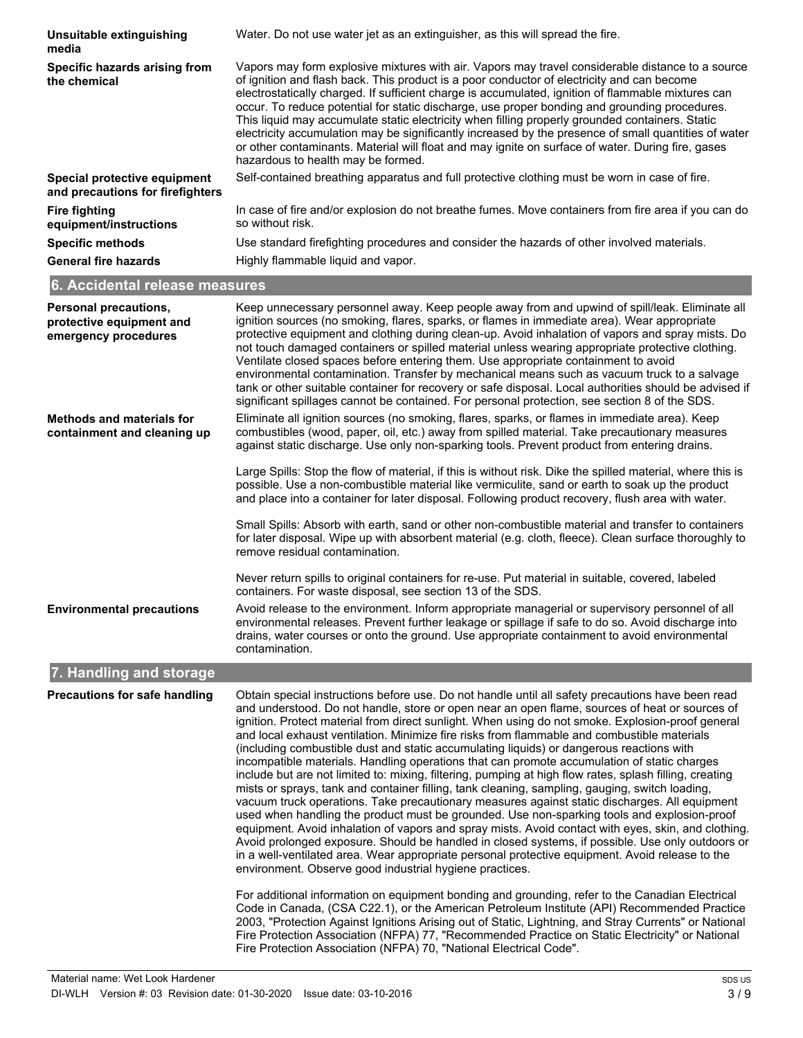| Unsuitable extinguishing<br>media                                                | Water. Do not use water jet as an extinguisher, as this will spread the fire.                                                                                                                                                                                                                                                                                                                                                                                                                                                                                                                                                                                                                                                                                                                                                                                                                                                                                                                                                                                                                                                                                                                                                                                                                                                                                                                                                                                                              |
|----------------------------------------------------------------------------------|--------------------------------------------------------------------------------------------------------------------------------------------------------------------------------------------------------------------------------------------------------------------------------------------------------------------------------------------------------------------------------------------------------------------------------------------------------------------------------------------------------------------------------------------------------------------------------------------------------------------------------------------------------------------------------------------------------------------------------------------------------------------------------------------------------------------------------------------------------------------------------------------------------------------------------------------------------------------------------------------------------------------------------------------------------------------------------------------------------------------------------------------------------------------------------------------------------------------------------------------------------------------------------------------------------------------------------------------------------------------------------------------------------------------------------------------------------------------------------------------|
| Specific hazards arising from<br>the chemical                                    | Vapors may form explosive mixtures with air. Vapors may travel considerable distance to a source<br>of ignition and flash back. This product is a poor conductor of electricity and can become<br>electrostatically charged. If sufficient charge is accumulated, ignition of flammable mixtures can<br>occur. To reduce potential for static discharge, use proper bonding and grounding procedures.<br>This liquid may accumulate static electricity when filling properly grounded containers. Static<br>electricity accumulation may be significantly increased by the presence of small quantities of water<br>or other contaminants. Material will float and may ignite on surface of water. During fire, gases<br>hazardous to health may be formed.                                                                                                                                                                                                                                                                                                                                                                                                                                                                                                                                                                                                                                                                                                                                |
| Special protective equipment<br>and precautions for firefighters                 | Self-contained breathing apparatus and full protective clothing must be worn in case of fire.                                                                                                                                                                                                                                                                                                                                                                                                                                                                                                                                                                                                                                                                                                                                                                                                                                                                                                                                                                                                                                                                                                                                                                                                                                                                                                                                                                                              |
| <b>Fire fighting</b><br>equipment/instructions                                   | In case of fire and/or explosion do not breathe fumes. Move containers from fire area if you can do<br>so without risk.                                                                                                                                                                                                                                                                                                                                                                                                                                                                                                                                                                                                                                                                                                                                                                                                                                                                                                                                                                                                                                                                                                                                                                                                                                                                                                                                                                    |
| <b>Specific methods</b>                                                          | Use standard firefighting procedures and consider the hazards of other involved materials.                                                                                                                                                                                                                                                                                                                                                                                                                                                                                                                                                                                                                                                                                                                                                                                                                                                                                                                                                                                                                                                                                                                                                                                                                                                                                                                                                                                                 |
| <b>General fire hazards</b>                                                      | Highly flammable liquid and vapor.                                                                                                                                                                                                                                                                                                                                                                                                                                                                                                                                                                                                                                                                                                                                                                                                                                                                                                                                                                                                                                                                                                                                                                                                                                                                                                                                                                                                                                                         |
| 6. Accidental release measures                                                   |                                                                                                                                                                                                                                                                                                                                                                                                                                                                                                                                                                                                                                                                                                                                                                                                                                                                                                                                                                                                                                                                                                                                                                                                                                                                                                                                                                                                                                                                                            |
| <b>Personal precautions,</b><br>protective equipment and<br>emergency procedures | Keep unnecessary personnel away. Keep people away from and upwind of spill/leak. Eliminate all<br>ignition sources (no smoking, flares, sparks, or flames in immediate area). Wear appropriate<br>protective equipment and clothing during clean-up. Avoid inhalation of vapors and spray mists. Do<br>not touch damaged containers or spilled material unless wearing appropriate protective clothing.<br>Ventilate closed spaces before entering them. Use appropriate containment to avoid<br>environmental contamination. Transfer by mechanical means such as vacuum truck to a salvage<br>tank or other suitable container for recovery or safe disposal. Local authorities should be advised if<br>significant spillages cannot be contained. For personal protection, see section 8 of the SDS.                                                                                                                                                                                                                                                                                                                                                                                                                                                                                                                                                                                                                                                                                    |
| <b>Methods and materials for</b><br>containment and cleaning up                  | Eliminate all ignition sources (no smoking, flares, sparks, or flames in immediate area). Keep<br>combustibles (wood, paper, oil, etc.) away from spilled material. Take precautionary measures<br>against static discharge. Use only non-sparking tools. Prevent product from entering drains.<br>Large Spills: Stop the flow of material, if this is without risk. Dike the spilled material, where this is<br>possible. Use a non-combustible material like vermiculite, sand or earth to soak up the product<br>and place into a container for later disposal. Following product recovery, flush area with water.<br>Small Spills: Absorb with earth, sand or other non-combustible material and transfer to containers<br>for later disposal. Wipe up with absorbent material (e.g. cloth, fleece). Clean surface thoroughly to<br>remove residual contamination.<br>Never return spills to original containers for re-use. Put material in suitable, covered, labeled<br>containers. For waste disposal, see section 13 of the SDS.                                                                                                                                                                                                                                                                                                                                                                                                                                                  |
| <b>Environmental precautions</b>                                                 | Avoid release to the environment. Inform appropriate managerial or supervisory personnel of all<br>environmental releases. Prevent further leakage or spillage if safe to do so. Avoid discharge into<br>drains, water courses or onto the ground. Use appropriate containment to avoid environmental<br>contamination.                                                                                                                                                                                                                                                                                                                                                                                                                                                                                                                                                                                                                                                                                                                                                                                                                                                                                                                                                                                                                                                                                                                                                                    |
| 7. Handling and storage                                                          |                                                                                                                                                                                                                                                                                                                                                                                                                                                                                                                                                                                                                                                                                                                                                                                                                                                                                                                                                                                                                                                                                                                                                                                                                                                                                                                                                                                                                                                                                            |
| <b>Precautions for safe handling</b>                                             | Obtain special instructions before use. Do not handle until all safety precautions have been read<br>and understood. Do not handle, store or open near an open flame, sources of heat or sources of<br>ignition. Protect material from direct sunlight. When using do not smoke. Explosion-proof general<br>and local exhaust ventilation. Minimize fire risks from flammable and combustible materials<br>(including combustible dust and static accumulating liquids) or dangerous reactions with<br>incompatible materials. Handling operations that can promote accumulation of static charges<br>include but are not limited to: mixing, filtering, pumping at high flow rates, splash filling, creating<br>mists or sprays, tank and container filling, tank cleaning, sampling, gauging, switch loading,<br>vacuum truck operations. Take precautionary measures against static discharges. All equipment<br>used when handling the product must be grounded. Use non-sparking tools and explosion-proof<br>equipment. Avoid inhalation of vapors and spray mists. Avoid contact with eyes, skin, and clothing.<br>Avoid prolonged exposure. Should be handled in closed systems, if possible. Use only outdoors or<br>in a well-ventilated area. Wear appropriate personal protective equipment. Avoid release to the<br>environment. Observe good industrial hygiene practices.<br>For additional information on oquinment bending and grounding refer to the Canadian Floctrical |

For additional information on equipment bonding and grounding, refer to the Canadian Electrical Code in Canada, (CSA C22.1), or the American Petroleum Institute (API) Recommended Practice 2003, "Protection Against Ignitions Arising out of Static, Lightning, and Stray Currents" or National Fire Protection Association (NFPA) 77, "Recommended Practice on Static Electricity" or National Fire Protection Association (NFPA) 70, "National Electrical Code".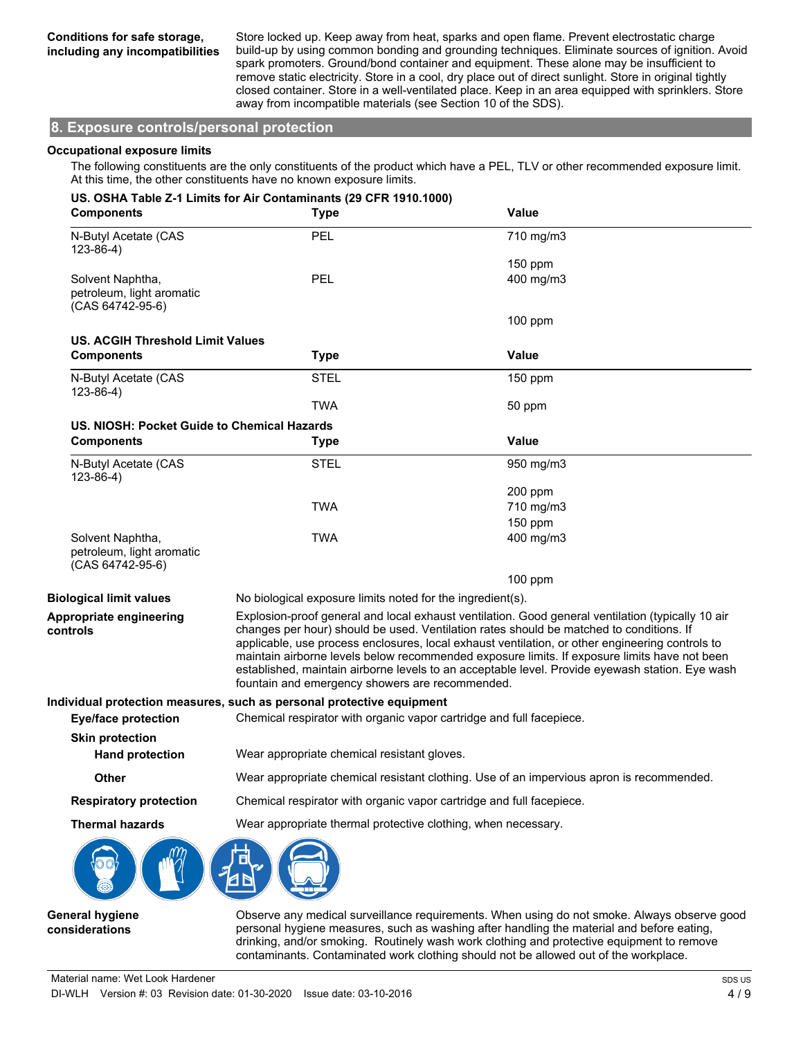Store locked up. Keep away from heat, sparks and open flame. Prevent electrostatic charge build-up by using common bonding and grounding techniques. Eliminate sources of ignition. Avoid spark promoters. Ground/bond container and equipment. These alone may be insufficient to remove static electricity. Store in a cool, dry place out of direct sunlight. Store in original tightly closed container. Store in a well-ventilated place. Keep in an area equipped with sprinklers. Store away from incompatible materials (see Section 10 of the SDS).

#### **8. Exposure controls/personal protection**

#### **Occupational exposure limits**

The following constituents are the only constituents of the product which have a PEL, TLV or other recommended exposure limit. At this time, the other constituents have no known exposure limits.

| <b>Components</b>                                                 | US. OSHA Table Z-1 Limits for Air Contaminants (29 CFR 1910.1000)<br><b>Type</b> | <b>Value</b>                                                                                                                                                                                                                                                                                                                                                                                                                                                                                       |  |
|-------------------------------------------------------------------|----------------------------------------------------------------------------------|----------------------------------------------------------------------------------------------------------------------------------------------------------------------------------------------------------------------------------------------------------------------------------------------------------------------------------------------------------------------------------------------------------------------------------------------------------------------------------------------------|--|
| N-Butyl Acetate (CAS<br>$123 - 86 - 4$ )                          | PEL                                                                              | 710 mg/m3                                                                                                                                                                                                                                                                                                                                                                                                                                                                                          |  |
|                                                                   |                                                                                  | 150 ppm                                                                                                                                                                                                                                                                                                                                                                                                                                                                                            |  |
| Solvent Naphtha,<br>petroleum, light aromatic<br>(CAS 64742-95-6) | <b>PEL</b>                                                                       | 400 mg/m3                                                                                                                                                                                                                                                                                                                                                                                                                                                                                          |  |
|                                                                   |                                                                                  | $100$ ppm                                                                                                                                                                                                                                                                                                                                                                                                                                                                                          |  |
| <b>US. ACGIH Threshold Limit Values</b>                           |                                                                                  |                                                                                                                                                                                                                                                                                                                                                                                                                                                                                                    |  |
| <b>Components</b>                                                 | <b>Type</b>                                                                      | <b>Value</b>                                                                                                                                                                                                                                                                                                                                                                                                                                                                                       |  |
| N-Butyl Acetate (CAS<br>$123 - 86 - 4$                            | <b>STEL</b>                                                                      | $150$ ppm                                                                                                                                                                                                                                                                                                                                                                                                                                                                                          |  |
|                                                                   | <b>TWA</b>                                                                       | 50 ppm                                                                                                                                                                                                                                                                                                                                                                                                                                                                                             |  |
| US. NIOSH: Pocket Guide to Chemical Hazards                       |                                                                                  |                                                                                                                                                                                                                                                                                                                                                                                                                                                                                                    |  |
| <b>Components</b>                                                 | <b>Type</b>                                                                      | Value                                                                                                                                                                                                                                                                                                                                                                                                                                                                                              |  |
| N-Butyl Acetate (CAS<br>$123-86-4)$                               | <b>STEL</b>                                                                      | 950 mg/m3                                                                                                                                                                                                                                                                                                                                                                                                                                                                                          |  |
|                                                                   |                                                                                  | 200 ppm                                                                                                                                                                                                                                                                                                                                                                                                                                                                                            |  |
|                                                                   | <b>TWA</b>                                                                       | 710 mg/m3                                                                                                                                                                                                                                                                                                                                                                                                                                                                                          |  |
|                                                                   |                                                                                  | $150$ ppm                                                                                                                                                                                                                                                                                                                                                                                                                                                                                          |  |
| Solvent Naphtha,<br>petroleum, light aromatic<br>(CAS 64742-95-6) | <b>TWA</b>                                                                       | 400 mg/m3                                                                                                                                                                                                                                                                                                                                                                                                                                                                                          |  |
|                                                                   |                                                                                  | $100$ ppm                                                                                                                                                                                                                                                                                                                                                                                                                                                                                          |  |
| <b>Biological limit values</b>                                    | No biological exposure limits noted for the ingredient(s).                       |                                                                                                                                                                                                                                                                                                                                                                                                                                                                                                    |  |
| Appropriate engineering<br>controls                               | fountain and emergency showers are recommended.                                  | Explosion-proof general and local exhaust ventilation. Good general ventilation (typically 10 air<br>changes per hour) should be used. Ventilation rates should be matched to conditions. If<br>applicable, use process enclosures, local exhaust ventilation, or other engineering controls to<br>maintain airborne levels below recommended exposure limits. If exposure limits have not been<br>established, maintain airborne levels to an acceptable level. Provide eyewash station. Eye wash |  |
|                                                                   | Individual protection measures, such as personal protective equipment            |                                                                                                                                                                                                                                                                                                                                                                                                                                                                                                    |  |
| <b>Eye/face protection</b>                                        | Chemical respirator with organic vapor cartridge and full facepiece.             |                                                                                                                                                                                                                                                                                                                                                                                                                                                                                                    |  |
| <b>Skin protection</b>                                            |                                                                                  |                                                                                                                                                                                                                                                                                                                                                                                                                                                                                                    |  |
| <b>Hand protection</b>                                            | Wear appropriate chemical resistant gloves.                                      |                                                                                                                                                                                                                                                                                                                                                                                                                                                                                                    |  |
| Other                                                             |                                                                                  | Wear appropriate chemical resistant clothing. Use of an impervious apron is recommended.                                                                                                                                                                                                                                                                                                                                                                                                           |  |
| <b>Respiratory protection</b>                                     |                                                                                  | Chemical respirator with organic vapor cartridge and full facepiece.                                                                                                                                                                                                                                                                                                                                                                                                                               |  |
| <b>Thermal hazards</b>                                            | Wear appropriate thermal protective clothing, when necessary.                    |                                                                                                                                                                                                                                                                                                                                                                                                                                                                                                    |  |
|                                                                   |                                                                                  |                                                                                                                                                                                                                                                                                                                                                                                                                                                                                                    |  |
|                                                                   |                                                                                  |                                                                                                                                                                                                                                                                                                                                                                                                                                                                                                    |  |

**General hygiene considerations**

Observe any medical surveillance requirements. When using do not smoke. Always observe good personal hygiene measures, such as washing after handling the material and before eating, drinking, and/or smoking. Routinely wash work clothing and protective equipment to remove contaminants. Contaminated work clothing should not be allowed out of the workplace.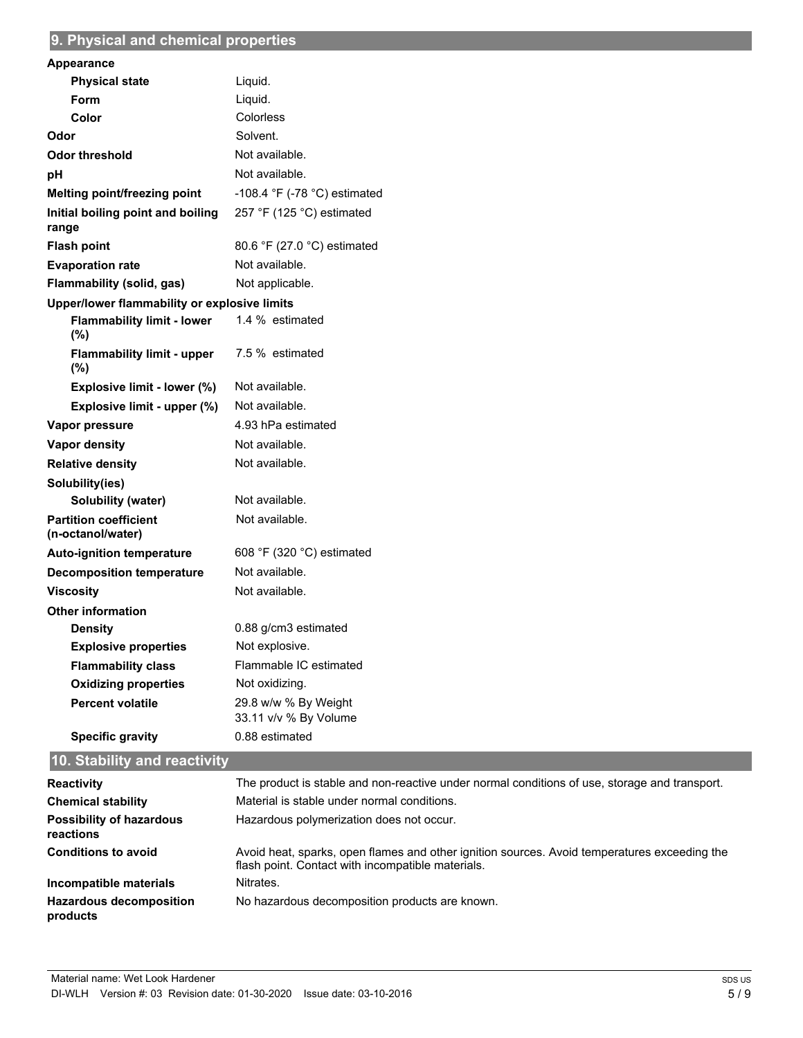## **9. Physical and chemical properties**

| Appearance                                        |                                                |
|---------------------------------------------------|------------------------------------------------|
| <b>Physical state</b>                             | Liquid.                                        |
| Form                                              | Liquid.                                        |
| Color                                             | Colorless                                      |
| Odor                                              | Solvent.                                       |
| <b>Odor threshold</b>                             | Not available.                                 |
| рH                                                | Not available.                                 |
| Melting point/freezing point                      | -108.4 $\degree$ F (-78 $\degree$ C) estimated |
| Initial boiling point and boiling<br>range        | 257 °F (125 °C) estimated                      |
| <b>Flash point</b>                                | 80.6 °F (27.0 °C) estimated                    |
| <b>Evaporation rate</b>                           | Not available.                                 |
| Flammability (solid, gas)                         | Not applicable.                                |
| Upper/lower flammability or explosive limits      |                                                |
| <b>Flammability limit - lower</b><br>(%)          | 1.4 % estimated                                |
| <b>Flammability limit - upper</b><br>$(\%)$       | 7.5 % estimated                                |
| Explosive limit - lower (%)                       | Not available.                                 |
| Explosive limit - upper (%)                       | Not available.                                 |
| Vapor pressure                                    | 4.93 hPa estimated                             |
| <b>Vapor density</b>                              | Not available.                                 |
| <b>Relative density</b>                           | Not available.                                 |
| Solubility(ies)                                   |                                                |
| Solubility (water)                                | Not available.                                 |
| <b>Partition coefficient</b><br>(n-octanol/water) | Not available.                                 |
| <b>Auto-ignition temperature</b>                  | 608 °F (320 °C) estimated                      |
| <b>Decomposition temperature</b>                  | Not available.                                 |
| <b>Viscosity</b>                                  | Not available.                                 |
| <b>Other information</b>                          |                                                |
| <b>Density</b>                                    | 0.88 g/cm3 estimated                           |
| <b>Explosive properties</b>                       | Not explosive.                                 |
| <b>Flammability class</b>                         | Flammable IC estimated                         |
| <b>Oxidizing properties</b>                       | Not oxidizing.                                 |
| <b>Percent volatile</b>                           | 29.8 w/w % By Weight<br>33.11 v/v % By Volume  |
| <b>Specific gravity</b>                           | 0.88 estimated                                 |
|                                                   |                                                |

# **10. Stability and reactivity**

| <b>Reactivity</b>                            | The product is stable and non-reactive under normal conditions of use, storage and transport.                                                     |
|----------------------------------------------|---------------------------------------------------------------------------------------------------------------------------------------------------|
| <b>Chemical stability</b>                    | Material is stable under normal conditions.                                                                                                       |
| <b>Possibility of hazardous</b><br>reactions | Hazardous polymerization does not occur.                                                                                                          |
| <b>Conditions to avoid</b>                   | Avoid heat, sparks, open flames and other ignition sources. Avoid temperatures exceeding the<br>flash point. Contact with incompatible materials. |
| Incompatible materials                       | Nitrates.                                                                                                                                         |
| <b>Hazardous decomposition</b><br>products   | No hazardous decomposition products are known.                                                                                                    |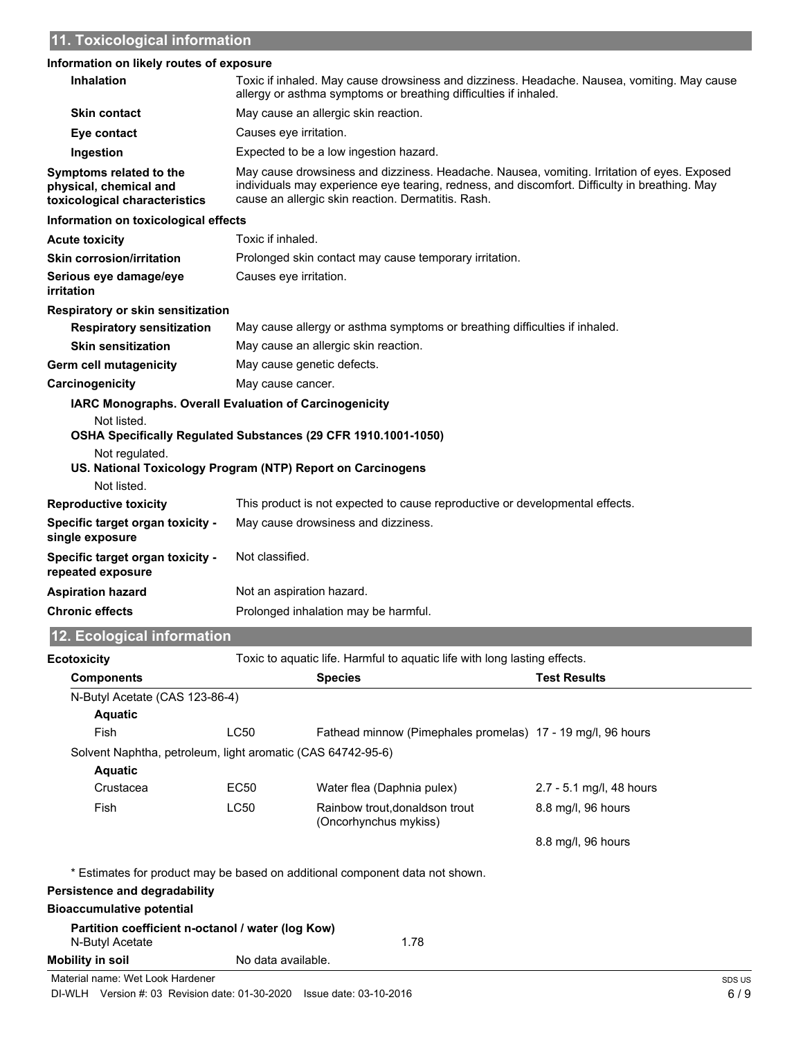#### **Information on likely routes of exposure**

| <b>Inhalation</b>                                                                                                                                                                                                                              |                           | Toxic if inhaled. May cause drowsiness and dizziness. Headache. Nausea, vomiting. May cause<br>allergy or asthma symptoms or breathing difficulties if inhaled.                                                                                    |
|------------------------------------------------------------------------------------------------------------------------------------------------------------------------------------------------------------------------------------------------|---------------------------|----------------------------------------------------------------------------------------------------------------------------------------------------------------------------------------------------------------------------------------------------|
| <b>Skin contact</b>                                                                                                                                                                                                                            |                           | May cause an allergic skin reaction.                                                                                                                                                                                                               |
| Eye contact                                                                                                                                                                                                                                    | Causes eye irritation.    |                                                                                                                                                                                                                                                    |
| Ingestion                                                                                                                                                                                                                                      |                           | Expected to be a low ingestion hazard.                                                                                                                                                                                                             |
| Symptoms related to the<br>physical, chemical and<br>toxicological characteristics                                                                                                                                                             |                           | May cause drowsiness and dizziness. Headache. Nausea, vomiting. Irritation of eyes. Exposed<br>individuals may experience eye tearing, redness, and discomfort. Difficulty in breathing. May<br>cause an allergic skin reaction. Dermatitis. Rash. |
| Information on toxicological effects                                                                                                                                                                                                           |                           |                                                                                                                                                                                                                                                    |
| <b>Acute toxicity</b>                                                                                                                                                                                                                          | Toxic if inhaled.         |                                                                                                                                                                                                                                                    |
| <b>Skin corrosion/irritation</b>                                                                                                                                                                                                               |                           | Prolonged skin contact may cause temporary irritation.                                                                                                                                                                                             |
| Serious eye damage/eye<br>irritation                                                                                                                                                                                                           | Causes eye irritation.    |                                                                                                                                                                                                                                                    |
| Respiratory or skin sensitization                                                                                                                                                                                                              |                           |                                                                                                                                                                                                                                                    |
| <b>Respiratory sensitization</b>                                                                                                                                                                                                               |                           | May cause allergy or asthma symptoms or breathing difficulties if inhaled.                                                                                                                                                                         |
| <b>Skin sensitization</b>                                                                                                                                                                                                                      |                           | May cause an allergic skin reaction.                                                                                                                                                                                                               |
| Germ cell mutagenicity                                                                                                                                                                                                                         |                           | May cause genetic defects.                                                                                                                                                                                                                         |
| Carcinogenicity                                                                                                                                                                                                                                | May cause cancer.         |                                                                                                                                                                                                                                                    |
| <b>IARC Monographs. Overall Evaluation of Carcinogenicity</b><br>Not listed.<br>OSHA Specifically Regulated Substances (29 CFR 1910.1001-1050)<br>Not regulated.<br>US. National Toxicology Program (NTP) Report on Carcinogens<br>Not listed. |                           |                                                                                                                                                                                                                                                    |
| <b>Reproductive toxicity</b>                                                                                                                                                                                                                   |                           | This product is not expected to cause reproductive or developmental effects.                                                                                                                                                                       |
| <b>Specific target organ toxicity -</b><br>single exposure                                                                                                                                                                                     |                           | May cause drowsiness and dizziness.                                                                                                                                                                                                                |
| Specific target organ toxicity -<br>repeated exposure                                                                                                                                                                                          | Not classified.           |                                                                                                                                                                                                                                                    |
| <b>Aspiration hazard</b>                                                                                                                                                                                                                       | Not an aspiration hazard. |                                                                                                                                                                                                                                                    |
| <b>Chronic effects</b>                                                                                                                                                                                                                         |                           | Prolonged inhalation may be harmful.                                                                                                                                                                                                               |
| 12. Ecological information                                                                                                                                                                                                                     |                           |                                                                                                                                                                                                                                                    |
| <b>Ecotoxicity</b>                                                                                                                                                                                                                             |                           | Toxic to aquatic life. Harmful to aquatic life with long lasting effects.                                                                                                                                                                          |
| <b>Components</b>                                                                                                                                                                                                                              |                           | <b>Test Results</b><br><b>Species</b>                                                                                                                                                                                                              |
| N-Butyl Acetate (CAS 123-86-4)<br><b>Aquatic</b>                                                                                                                                                                                               |                           |                                                                                                                                                                                                                                                    |
| Fish                                                                                                                                                                                                                                           | <b>LC50</b>               | Fathead minnow (Pimephales promelas) 17 - 19 mg/l, 96 hours                                                                                                                                                                                        |

Solvent Naphtha, petroleum, light aromatic (CAS 64742-95-6)

| <b>Aquatic</b> |      |                                                         |                          |
|----------------|------|---------------------------------------------------------|--------------------------|
| Crustacea      | EC50 | Water flea (Daphnia pulex)                              | 2.7 - 5.1 mg/l, 48 hours |
| Fish           | LC50 | Rainbow trout, donaldson trout<br>(Oncorhynchus mykiss) | 8.8 mg/l, 96 hours       |
|                |      |                                                         | 8.8 mg/l, 96 hours       |

\* Estimates for product may be based on additional component data not shown.

#### **Persistence and degradability**

#### **Bioaccumulative potential**

| Partition coefficient n-octanol / water (log Kow) |                    |      |
|---------------------------------------------------|--------------------|------|
| N-Butyl Acetate                                   |                    | 1.78 |
| Mobility in soil                                  | No data available. |      |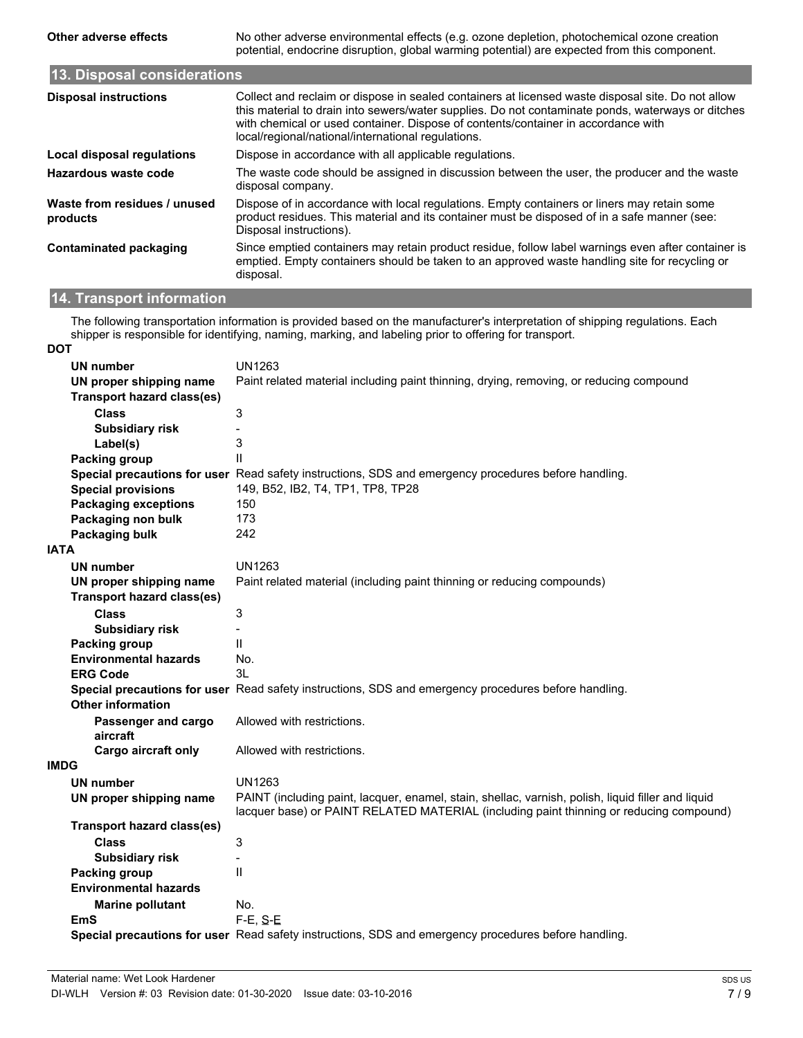**Other adverse effects** No other adverse environmental effects (e.g. ozone depletion, photochemical ozone creation potential, endocrine disruption, global warming potential) are expected from this component.

| 13. Disposal considerations              |                                                                                                                                                                                                                                                                                                                                                   |  |  |  |
|------------------------------------------|---------------------------------------------------------------------------------------------------------------------------------------------------------------------------------------------------------------------------------------------------------------------------------------------------------------------------------------------------|--|--|--|
| <b>Disposal instructions</b>             | Collect and reclaim or dispose in sealed containers at licensed waste disposal site. Do not allow<br>this material to drain into sewers/water supplies. Do not contaminate ponds, waterways or ditches<br>with chemical or used container. Dispose of contents/container in accordance with<br>local/regional/national/international regulations. |  |  |  |
| Local disposal regulations               | Dispose in accordance with all applicable regulations.                                                                                                                                                                                                                                                                                            |  |  |  |
| Hazardous waste code                     | The waste code should be assigned in discussion between the user, the producer and the waste<br>disposal company.                                                                                                                                                                                                                                 |  |  |  |
| Waste from residues / unused<br>products | Dispose of in accordance with local regulations. Empty containers or liners may retain some<br>product residues. This material and its container must be disposed of in a safe manner (see:<br>Disposal instructions).                                                                                                                            |  |  |  |
| Contaminated packaging                   | Since emptied containers may retain product residue, follow label warnings even after container is<br>emptied. Empty containers should be taken to an approved waste handling site for recycling or<br>disposal.                                                                                                                                  |  |  |  |

### **14. Transport information**

The following transportation information is provided based on the manufacturer's interpretation of shipping regulations. Each shipper is responsible for identifying, naming, marking, and labeling prior to offering for transport.

#### **DOT**

|             | <b>UN number</b>                  | <b>UN1263</b>                                                                                                                                                                                 |
|-------------|-----------------------------------|-----------------------------------------------------------------------------------------------------------------------------------------------------------------------------------------------|
|             | UN proper shipping name           | Paint related material including paint thinning, drying, removing, or reducing compound                                                                                                       |
|             | <b>Transport hazard class(es)</b> |                                                                                                                                                                                               |
|             | <b>Class</b>                      | 3                                                                                                                                                                                             |
|             | <b>Subsidiary risk</b>            |                                                                                                                                                                                               |
|             | Label(s)                          | 3                                                                                                                                                                                             |
|             | Packing group                     | $\mathbf{I}$                                                                                                                                                                                  |
|             |                                   | Special precautions for user Read safety instructions, SDS and emergency procedures before handling.                                                                                          |
|             | <b>Special provisions</b>         | 149, B52, IB2, T4, TP1, TP8, TP28                                                                                                                                                             |
|             | <b>Packaging exceptions</b>       | 150                                                                                                                                                                                           |
|             | Packaging non bulk                | 173                                                                                                                                                                                           |
|             | Packaging bulk                    | 242                                                                                                                                                                                           |
| <b>IATA</b> |                                   |                                                                                                                                                                                               |
|             | <b>UN number</b>                  | UN1263                                                                                                                                                                                        |
|             | UN proper shipping name           | Paint related material (including paint thinning or reducing compounds)                                                                                                                       |
|             | <b>Transport hazard class(es)</b> |                                                                                                                                                                                               |
|             | <b>Class</b>                      | 3                                                                                                                                                                                             |
|             | <b>Subsidiary risk</b>            |                                                                                                                                                                                               |
|             | Packing group                     | Ш                                                                                                                                                                                             |
|             | <b>Environmental hazards</b>      | No.                                                                                                                                                                                           |
|             | <b>ERG Code</b>                   | 3L                                                                                                                                                                                            |
|             |                                   | Special precautions for user Read safety instructions, SDS and emergency procedures before handling.                                                                                          |
|             | <b>Other information</b>          |                                                                                                                                                                                               |
|             | Passenger and cargo<br>aircraft   | Allowed with restrictions.                                                                                                                                                                    |
|             | Cargo aircraft only               | Allowed with restrictions.                                                                                                                                                                    |
| <b>IMDG</b> |                                   |                                                                                                                                                                                               |
|             | <b>UN number</b>                  | <b>UN1263</b>                                                                                                                                                                                 |
|             | UN proper shipping name           | PAINT (including paint, lacquer, enamel, stain, shellac, varnish, polish, liquid filler and liquid<br>lacquer base) or PAINT RELATED MATERIAL (including paint thinning or reducing compound) |
|             | <b>Transport hazard class(es)</b> |                                                                                                                                                                                               |
|             | Class                             | 3                                                                                                                                                                                             |
|             | <b>Subsidiary risk</b>            | $\overline{\phantom{0}}$                                                                                                                                                                      |
|             | Packing group                     | $\mathbf{H}$                                                                                                                                                                                  |
|             | <b>Environmental hazards</b>      |                                                                                                                                                                                               |
|             | <b>Marine pollutant</b>           | No.                                                                                                                                                                                           |
|             | EmS                               | $F-E$ , S-E                                                                                                                                                                                   |
|             |                                   | Special precautions for user Read safety instructions, SDS and emergency procedures before handling.                                                                                          |
|             |                                   |                                                                                                                                                                                               |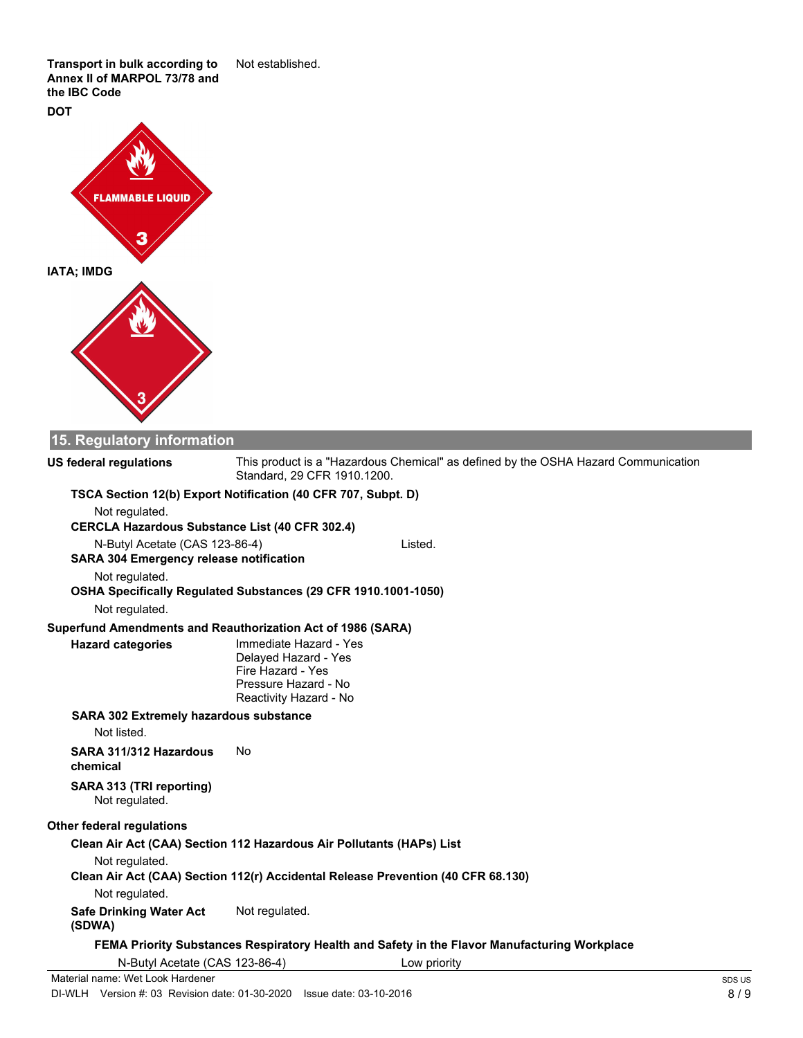**Transport in bulk according to** Not established. **Annex II of MARPOL 73/78 and the IBC Code**

**DOT**



### **15. Regulatory information**

This product is a "Hazardous Chemical" as defined by the OSHA Hazard Communication

#### Standard, 29 CFR 1910.1200. **US federal regulations TSCA Section 12(b) Export Notification (40 CFR 707, Subpt. D)** Not regulated. **CERCLA Hazardous Substance List (40 CFR 302.4)** N-Butyl Acetate (CAS 123-86-4) Listed. **SARA 304 Emergency release notification** Not regulated. **OSHA Specifically Regulated Substances (29 CFR 1910.1001-1050)** Not regulated. **Superfund Amendments and Reauthorization Act of 1986 (SARA)** Immediate Hazard - Yes Delayed Hazard - Yes Fire Hazard - Yes Pressure Hazard - No Reactivity Hazard - No **Hazard categories SARA 302 Extremely hazardous substance** Not listed. **SARA 311/312 Hazardous** No **chemical SARA 313 (TRI reporting)** Not regulated. **Other federal regulations Clean Air Act (CAA) Section 112 Hazardous Air Pollutants (HAPs) List** Not regulated. **Clean Air Act (CAA) Section 112(r) Accidental Release Prevention (40 CFR 68.130)** Not regulated. **Safe Drinking Water Act** Not regulated. **(SDWA) FEMA Priority Substances Respiratory Health and Safety in the Flavor Manufacturing Workplace** N-Butyl Acetate (CAS 123-86-4) Low priority Material name: Wet Look Hardener